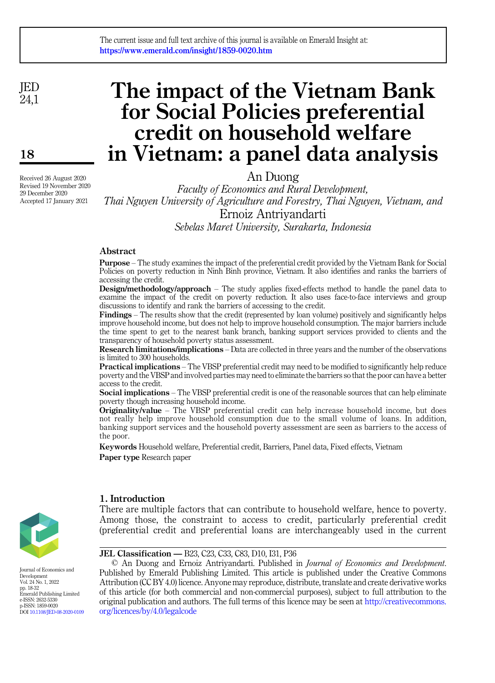#### The current issue and full text archive of this journal is available on Emerald Insight at: https://www.emerald.com/insight/1859-0020.htm

JED 24,1

18

Received 26 August 2020 Revised 19 November 2020 29 December 2020 Accepted 17 January 2021

# The impact of the Vietnam Bank for Social Policies preferential credit on household welfare in Vietnam: a panel data analysis

An Duong

Faculty of Economics and Rural Development, Thai Nguyen University of Agriculture and Forestry, Thai Nguyen, Vietnam, and Ernoiz Antriyandarti Sebelas Maret University, Surakarta, Indonesia

# Abstract

Purpose – The study examines the impact of the preferential credit provided by the Vietnam Bank for Social Policies on poverty reduction in Ninh Binh province, Vietnam. It also identifies and ranks the barriers of accessing the credit.

Design/methodology/approach – The study applies fixed-effects method to handle the panel data to examine the impact of the credit on poverty reduction. It also uses face-to-face interviews and group discussions to identify and rank the barriers of accessing to the credit.

Findings – The results show that the credit (represented by loan volume) positively and significantly helps improve household income, but does not help to improve household consumption. The major barriers include the time spent to get to the nearest bank branch, banking support services provided to clients and the transparency of household poverty status assessment.

Research limitations/implications – Data are collected in three years and the number of the observations is limited to 300 households.

Practical implications – The VBSP preferential credit may need to be modified to significantly help reduce poverty and the VBSP and involved parties may need to eliminate the barriers so that the poor can have a better access to the credit.

Social implications – The VBSP preferential credit is one of the reasonable sources that can help eliminate poverty though increasing household income.

Originality/value – The VBSP preferential credit can help increase household income, but does not really help improve household consumption due to the small volume of loans. In addition, banking support services and the household poverty assessment are seen as barriers to the access of the poor.

Keywords Household welfare, Preferential credit, Barriers, Panel data, Fixed effects, Vietnam Paper type Research paper



1. Introduction

There are multiple factors that can contribute to household welfare, hence to poverty. Among those, the constraint to access to credit, particularly preferential credit (preferential credit and preferential loans are interchangeably used in the current

JEL Classification — B23, C23, C33, C83, D10, I31, P36

© An Duong and Ernoiz Antriyandarti. Published in Journal of Economics and Development. Published by Emerald Publishing Limited. This article is published under the Creative Commons Attribution (CC BY 4.0) licence. Anyone may reproduce, distribute, translate and create derivative works of this article (for both commercial and non-commercial purposes), subject to full attribution to the original publication and authors. The full terms of this licence may be seen at [http://creativecommons.](http://creativecommons.org/licences/by/4.0/legalcode) [org/licences/by/4.0/legalcode](http://creativecommons.org/licences/by/4.0/legalcode)



Journal of Economics and Development Vol. 24 No. 1, 2022 pp. 18-32 Emerald Publishing Limited e-ISSN: 2632-5330 p-ISSN: 1859-0020 DOI [10.1108/JED-08-2020-0109](https://doi.org/10.1108/JED-08-2020-0109)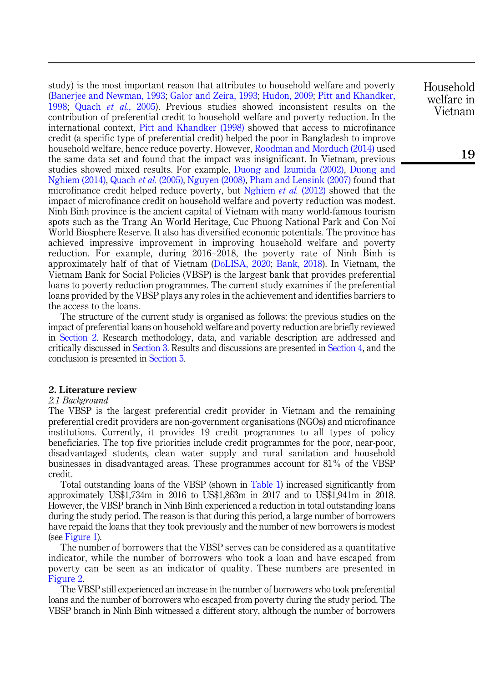study) is the most important reason that attributes to household welfare and poverty ([Banerjee and Newman, 1993;](#page-12-0) [Galor and Zeira, 1993](#page-13-0); [Hudon, 2009](#page-13-1); [Pitt and Khandker,](#page-14-0) [1998](#page-14-0); Quach et al.[, 2005](#page-14-1)). Previous studies showed inconsistent results on the contribution of preferential credit to household welfare and poverty reduction. In the international context, [Pitt and Khandker \(1998\)](#page-14-0) showed that access to microfinance credit (a specific type of preferential credit) helped the poor in Bangladesh to improve household welfare, hence reduce poverty. However, [Roodman and Morduch \(2014\)](#page-14-2) used the same data set and found that the impact was insignificant. In Vietnam, previous studies showed mixed results. For example, [Duong and Izumida \(2002\),](#page-12-1) [Duong and](#page-12-2) [Nghiem \(2014\),](#page-12-2) [Quach](#page-14-1) et al. (2005), [Nguyen \(2008\),](#page-13-2) [Pham and Lensink \(2007\)](#page-14-3) found that microfinance credit helped reduce poverty, but [Nghiem](#page-13-3) *et al.* (2012) showed that the impact of microfinance credit on household welfare and poverty reduction was modest. Ninh Binh province is the ancient capital of Vietnam with many world-famous tourism spots such as the Trang An World Heritage, Cuc Phuong National Park and Con Noi World Biosphere Reserve. It also has diversified economic potentials. The province has achieved impressive improvement in improving household welfare and poverty reduction. For example, during 2016–2018, the poverty rate of Ninh Binh is approximately half of that of Vietnam ([DoLISA, 2020;](#page-12-3) [Bank, 2018\)](#page-12-4). In Vietnam, the Vietnam Bank for Social Policies (VBSP) is the largest bank that provides preferential loans to poverty reduction programmes. The current study examines if the preferential loans provided by the VBSP plays any roles in the achievement and identifies barriers to the access to the loans.

The structure of the current study is organised as follows: the previous studies on the impact of preferential loans on household welfare and poverty reduction are briefly reviewed in [Section 2](#page-1-0). Research methodology, data, and variable description are addressed and critically discussed in [Section 3.](#page-5-0) Results and discussions are presented in [Section 4](#page-9-0), and the conclusion is presented in [Section 5](#page-11-0).

# <span id="page-1-0"></span>2. Literature review

#### 2.1 Background

The VBSP is the largest preferential credit provider in Vietnam and the remaining preferential credit providers are non-government organisations (NGOs) and microfinance institutions. Currently, it provides 19 credit programmes to all types of policy beneficiaries. The top five priorities include credit programmes for the poor, near-poor, disadvantaged students, clean water supply and rural sanitation and household businesses in disadvantaged areas. These programmes account for 81% of the VBSP credit.

Total outstanding loans of the VBSP (shown in [Table 1\)](#page-2-0) increased significantly from approximately US\$1,734m in 2016 to US\$1,863m in 2017 and to US\$1,941m in 2018. However, the VBSP branch in Ninh Binh experienced a reduction in total outstanding loans during the study period. The reason is that during this period, a large number of borrowers have repaid the loans that they took previously and the number of new borrowers is modest (see [Figure 1](#page-2-0)).

The number of borrowers that the VBSP serves can be considered as a quantitative indicator, while the number of borrowers who took a loan and have escaped from poverty can be seen as an indicator of quality. These numbers are presented in [Figure 2](#page-3-0).

The VBSP still experienced an increase in the number of borrowers who took preferential loans and the number of borrowers who escaped from poverty during the study period. The VBSP branch in Ninh Binh witnessed a different story, although the number of borrowers

Household welfare in Vietnam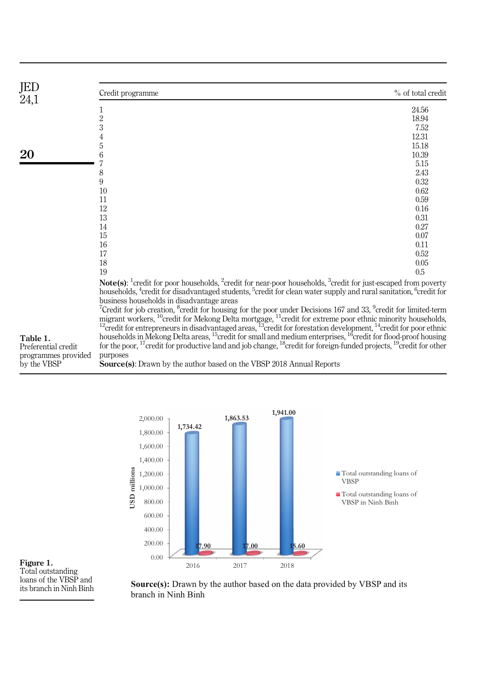<span id="page-2-0"></span>

| JED<br>24,1         | Credit programme                                                                                                                                                                                                                                                                | % of total credit |  |  |  |
|---------------------|---------------------------------------------------------------------------------------------------------------------------------------------------------------------------------------------------------------------------------------------------------------------------------|-------------------|--|--|--|
|                     | 1                                                                                                                                                                                                                                                                               | 24.56             |  |  |  |
|                     | $\overline{2}$                                                                                                                                                                                                                                                                  | 18.94             |  |  |  |
|                     | 3                                                                                                                                                                                                                                                                               | 7.52              |  |  |  |
|                     | 4                                                                                                                                                                                                                                                                               | 12.31             |  |  |  |
|                     | 5                                                                                                                                                                                                                                                                               | 15.18             |  |  |  |
| 20                  | 6                                                                                                                                                                                                                                                                               | 10.39             |  |  |  |
|                     |                                                                                                                                                                                                                                                                                 | 5.15              |  |  |  |
|                     | 8                                                                                                                                                                                                                                                                               | 2.43              |  |  |  |
|                     | 9                                                                                                                                                                                                                                                                               | 0.32              |  |  |  |
|                     | 10                                                                                                                                                                                                                                                                              | 0.62              |  |  |  |
|                     | 11                                                                                                                                                                                                                                                                              | 0.59              |  |  |  |
|                     | 12                                                                                                                                                                                                                                                                              | 0.16              |  |  |  |
|                     | 13                                                                                                                                                                                                                                                                              | 0.31              |  |  |  |
|                     | 14                                                                                                                                                                                                                                                                              | 0.27              |  |  |  |
|                     | 15                                                                                                                                                                                                                                                                              | 0.07              |  |  |  |
|                     | 16                                                                                                                                                                                                                                                                              | 0.11              |  |  |  |
|                     | 17                                                                                                                                                                                                                                                                              | 0.52              |  |  |  |
|                     | 18                                                                                                                                                                                                                                                                              | 0.05              |  |  |  |
|                     | 19                                                                                                                                                                                                                                                                              | 0.5               |  |  |  |
|                     | <b>Note(s):</b> <sup>1</sup> credit for poor households, <sup>2</sup> credit for near-poor households, <sup>3</sup> credit for just-escaped from poverty                                                                                                                        |                   |  |  |  |
|                     | households, <sup>4</sup> credit for disadvantaged students, <sup>5</sup> credit for clean water supply and rural sanitation, <sup>6</sup> credit for                                                                                                                            |                   |  |  |  |
|                     | business households in disadvantage areas                                                                                                                                                                                                                                       |                   |  |  |  |
|                     | <sup>7</sup> Credit for job creation, <sup>8</sup> credit for housing for the poor under Decisions 167 and 33, $\degree$ credit for limited-term                                                                                                                                |                   |  |  |  |
|                     | migrant workers, <sup>10</sup> credit for Mekong Delta mortgage, <sup>11</sup> credit for extreme poor ethnic minority households, <sup>12</sup> credit for entrepreneurs in disadvantaged areas, <sup>13</sup> credit for forestation development, <sup>14</sup> credit for po |                   |  |  |  |
|                     |                                                                                                                                                                                                                                                                                 |                   |  |  |  |
| Table 1.            | households in Mekong Delta areas, <sup>15</sup> credit for small and medium enterprises, <sup>16</sup> credit for flood-proof housing                                                                                                                                           |                   |  |  |  |
| Preferential credit | for the poor, <sup>17</sup> credit for productive land and job change, <sup>18</sup> credit for foreign-funded projects, <sup>19</sup> credit for other                                                                                                                         |                   |  |  |  |

for the poor, <sup>17</sup>credit for productive land and job change, <sup>18</sup>credit for foreign-funded projects, <sup>19</sup>credit for other purposes Source(s): Drawn by the author based on the VBSP 2018 Annual Reports Preferential credit programmes provided by the VBSP



Figure 1. Total outstanding loans of the VBSP and its branch in Ninh Binh

**Source(s):** Drawn by the author based on the data provided by VBSP and its branch in Ninh Binh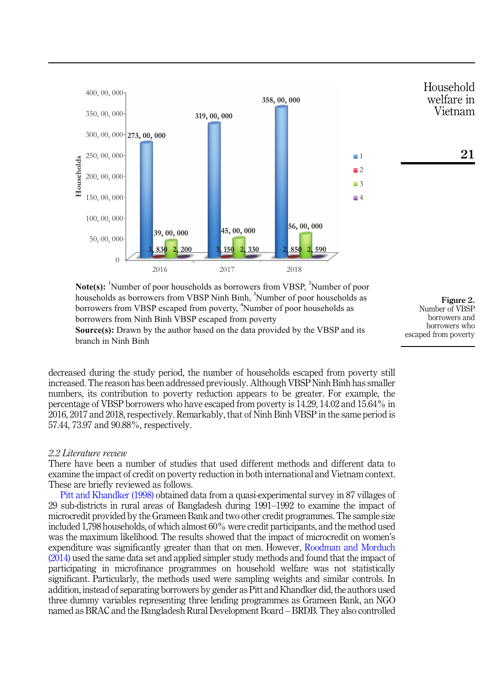<span id="page-3-0"></span>

**Note(s):** <sup>1</sup>Number of poor households as borrowers from VBSP, <sup>2</sup>Number of poor households as borrowers from VBSP Ninh Binh, <sup>3</sup>Number of poor households as borrowers from VBSP escaped from poverty, <sup>4</sup>Number of poor households as borrowers from Ninh Binh VBSP escaped from poverty

Figure 2. Number of VBSP borrowers and borrowers who escaped from poverty

**Source(s):** Drawn by the author based on the data provided by the VBSP and its branch in Ninh Binh

decreased during the study period, the number of households escaped from poverty still increased. The reason has been addressed previously. Although VBSP Ninh Binh has smaller numbers, its contribution to poverty reduction appears to be greater. For example, the percentage of VBSP borrowers who have escaped from poverty is 14.29, 14.02 and 15.64% in 2016, 2017 and 2018, respectively. Remarkably, that of Ninh Binh VBSP in the same period is 57.44, 73.97 and 90.88%, respectively.

# 2.2 Literature review

There have been a number of studies that used different methods and different data to examine the impact of credit on poverty reduction in both international and Vietnam context. These are briefly reviewed as follows.

[Pitt and Khandker \(1998\)](#page-14-0) obtained data from a quasi-experimental survey in 87 villages of 29 sub-districts in rural areas of Bangladesh during 1991–1992 to examine the impact of microcredit provided by the Grameen Bank and two other credit programmes. The sample size included 1,798 households, of which almost 60% were credit participants, and the method used was the maximum likelihood. The results showed that the impact of microcredit on women's expenditure was significantly greater than that on men. However, [Roodman and Morduch](#page-14-2) [\(2014\)](#page-14-2) used the same data set and applied simpler study methods and found that the impact of participating in microfinance programmes on household welfare was not statistically significant. Particularly, the methods used were sampling weights and similar controls. In addition, instead of separating borrowers by gender as Pitt and Khandker did, the authors used three dummy variables representing three lending programmes as Grameen Bank, an NGO named as BRAC and the Bangladesh Rural Development Board – BRDB. They also controlled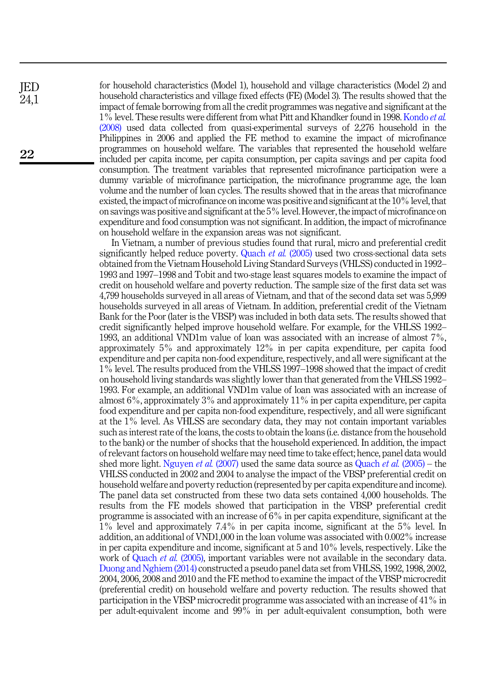for household characteristics (Model 1), household and village characteristics (Model 2) and household characteristics and village fixed effects (FE) (Model 3). The results showed that the impact of female borrowing from all the credit programmes was negative and significant at the 1% level. These results were different from what Pitt and Khandker found in 1998. [Kondo](#page-13-4) et al. [\(2008\)](#page-13-4) used data collected from quasi-experimental surveys of 2,276 household in the Philippines in 2006 and applied the FE method to examine the impact of microfinance programmes on household welfare. The variables that represented the household welfare included per capita income, per capita consumption, per capita savings and per capita food consumption. The treatment variables that represented microfinance participation were a dummy variable of microfinance participation, the microfinance programme age, the loan volume and the number of loan cycles. The results showed that in the areas that microfinance existed, the impact of microfinance on income was positive and significant at the 10% level, that on savings was positive and significant at the 5% level. However, the impact of microfinance on expenditure and food consumption was not significant. In addition, the impact of microfinance on household welfare in the expansion areas was not significant.

In Vietnam, a number of previous studies found that rural, micro and preferential credit significantly helped reduce poverty. [Quach](#page-14-1) *et al.* (2005) used two cross-sectional data sets obtained from the Vietnam Household Living Standard Surveys (VHLSS) conducted in 1992– 1993 and 1997–1998 and Tobit and two-stage least squares models to examine the impact of credit on household welfare and poverty reduction. The sample size of the first data set was 4,799 households surveyed in all areas of Vietnam, and that of the second data set was 5,999 households surveyed in all areas of Vietnam. In addition, preferential credit of the Vietnam Bank for the Poor (later is the VBSP) was included in both data sets. The results showed that credit significantly helped improve household welfare. For example, for the VHLSS 1992– 1993, an additional VND1m value of loan was associated with an increase of almost 7%, approximately 5% and approximately 12% in per capita expenditure, per capita food expenditure and per capita non-food expenditure, respectively, and all were significant at the 1% level. The results produced from the VHLSS 1997–1998 showed that the impact of credit on household living standards was slightly lower than that generated from the VHLSS 1992– 1993. For example, an additional VND1m value of loan was associated with an increase of almost 6%, approximately 3% and approximately 11% in per capita expenditure, per capita food expenditure and per capita non-food expenditure, respectively, and all were significant at the 1% level. As VHLSS are secondary data, they may not contain important variables such as interest rate of the loans, the costs to obtain the loans (i.e. distance from the household to the bank) or the number of shocks that the household experienced. In addition, the impact of relevant factors on household welfare may need time to take effect; hence, panel data would shed more light. [Nguyen](#page-13-5) *et al.* (2007) used the same data source as [Quach](#page-14-1) *et al.* (2005) – the VHLSS conducted in 2002 and 2004 to analyse the impact of the VBSP preferential credit on household welfare and poverty reduction (represented by per capita expenditure and income). The panel data set constructed from these two data sets contained 4,000 households. The results from the FE models showed that participation in the VBSP preferential credit programme is associated with an increase of 6% in per capita expenditure, significant at the 1% level and approximately 7.4% in per capita income, significant at the 5% level. In addition, an additional of VND1,000 in the loan volume was associated with 0.002% increase in per capita expenditure and income, significant at 5 and 10% levels, respectively. Like the work of [Quach](#page-14-1) *et al.* (2005), important variables were not available in the secondary data. [Duong and Nghiem \(2014\)](#page-12-2) constructed a pseudo panel data set from VHLSS, 1992, 1998, 2002, 2004, 2006, 2008 and 2010 and the FE method to examine the impact of the VBSP microcredit (preferential credit) on household welfare and poverty reduction. The results showed that participation in the VBSP microcredit programme was associated with an increase of 41% in per adult-equivalent income and 99% in per adult-equivalent consumption, both were

JED 24,1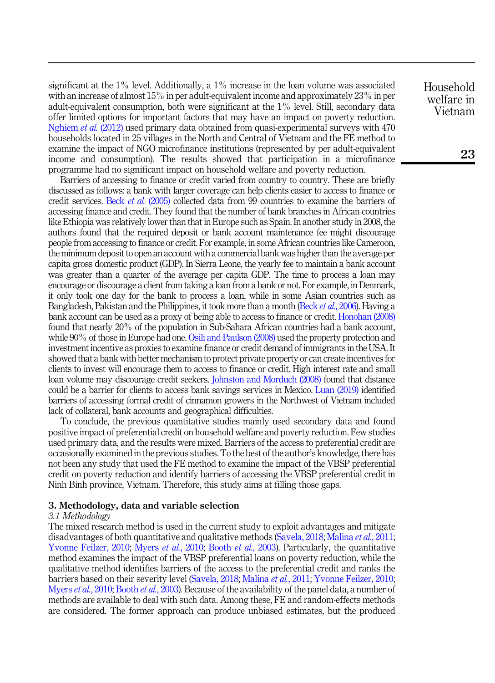significant at the 1% level. Additionally, a 1% increase in the loan volume was associated with an increase of almost 15% in per adult-equivalent income and approximately 23% in per adult-equivalent consumption, both were significant at the 1% level. Still, secondary data offer limited options for important factors that may have an impact on poverty reduction. [Nghiem](#page-13-3) *et al.* (2012) used primary data obtained from quasi-experimental surveys with 470 households located in 25 villages in the North and Central of Vietnam and the FE method to examine the impact of NGO microfinance institutions (represented by per adult-equivalent income and consumption). The results showed that participation in a microfinance programme had no significant impact on household welfare and poverty reduction.

Barriers of accessing to finance or credit varied from country to country. These are briefly discussed as follows: a bank with larger coverage can help clients easier to access to finance or credit services. Beck et al. [\(2005\)](#page-12-5) collected data from 99 countries to examine the barriers of accessing finance and credit. They found that the number of bank branches in African countries like Ethiopia was relatively lower than that in Europe such as Spain. In another study in 2008, the authors found that the required deposit or bank account maintenance fee might discourage people from accessing to finance or credit. For example, in some African countries like Cameroon, the minimum deposit to open an account with a commercial bank was higher than the average per capita gross domestic product (GDP). In Sierra Leone, the yearly fee to maintain a bank account was greater than a quarter of the average per capita GDP. The time to process a loan may encourage or discourage a client from taking a loan from a bank or not. For example, in Denmark, it only took one day for the bank to process a loan, while in some Asian countries such as Bangladesh, Pakistan and the Philippines, it took more than a month (Beck et al.[, 2006](#page-12-6)). Having a bank account can be used as a proxy of being able to access to finance or credit. [Honohan \(2008\)](#page-13-6) found that nearly 20% of the population in Sub-Sahara African countries had a bank account, while 90% of those in Europe had one. [Osili and Paulson \(2008\)](#page-14-4) used the property protection and investment incentive as proxies to examine finance or credit demand of immigrants in the USA. It showed that a bank with better mechanism to protect private property or can create incentives for clients to invest will encourage them to access to finance or credit. High interest rate and small loan volume may discourage credit seekers. [Johnston and Morduch \(2008\)](#page-13-7) found that distance could be a barrier for clients to access bank savings services in Mexico. [Luan \(2019\)](#page-13-8) identified barriers of accessing formal credit of cinnamon growers in the Northwest of Vietnam included lack of collateral, bank accounts and geographical difficulties.

To conclude, the previous quantitative studies mainly used secondary data and found positive impact of preferential credit on household welfare and poverty reduction. Few studies used primary data, and the results were mixed. Barriers of the access to preferential credit are occasionally examined in the previous studies. To the best of the author's knowledge, there has not been any study that used the FE method to examine the impact of the VBSP preferential credit on poverty reduction and identify barriers of accessing the VBSP preferential credit in Ninh Binh province, Vietnam. Therefore, this study aims at filling those gaps.

#### <span id="page-5-0"></span>3. Methodology, data and variable selection

#### 3.1 Methodology

The mixed research method is used in the current study to exploit advantages and mitigate disadvantages of both quantitative and qualitative methods [\(Savela, 2018](#page-14-5); [Malina](#page-13-9) et al., 2011; [Yvonne Feilzer, 2010](#page-14-6); [Myers](#page-13-10) *et al.*, 2010; Booth *et al.*[, 2003](#page-12-7)). Particularly, the quantitative method examines the impact of the VBSP preferential loans on poverty reduction, while the qualitative method identifies barriers of the access to the preferential credit and ranks the barriers based on their severity level ([Savela, 2018;](#page-14-5) [Malina](#page-13-9) et al., 2011; [Yvonne Feilzer, 2010](#page-14-6); [Myers](#page-13-10) *et al.*, 2010; [Booth](#page-12-7) *et al.*, 2003). Because of the availability of the panel data, a number of methods are available to deal with such data. Among these, FE and random-effects methods are considered. The former approach can produce unbiased estimates, but the produced Household welfare in Vietnam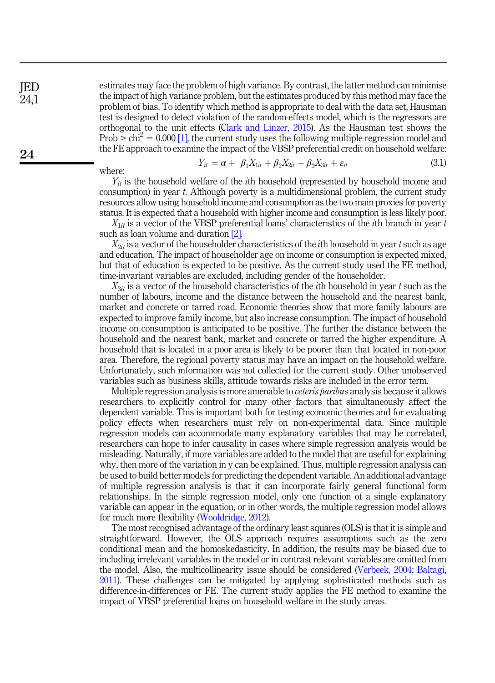JED  $24.1$ 

24

estimates may face the problem of high variance. By contrast, the latter method can minimise the impact of high variance problem, but the estimates produced by this method may face the problem of bias. To identify which method is appropriate to deal with the data set, Hausman test is designed to detect violation of the random-effects model, which is the regressors are orthogonal to the unit effects [\(Clark and Linzer, 2015](#page-12-8)). As the Hausman test shows the Prob  $>$  chi<sup>2</sup> = 0.000 [\[1\],](#page-12-9) the current study uses the following multiple regression model and the FE approach to examine the impact of the VBSP preferential credit on household welfare:

where: 
$$
Y_{it} = \alpha + \beta_1 X_{1it} + \beta_2 X_{2it} + \beta_3 X_{3it} + \varepsilon_{it}
$$
 (3.1)

 $Y_{it}$  is the household welfare of the *i*th household (represented by household income and consumption) in year  $t$ . Although poverty is a multidimensional problem, the current study resources allow using household income and consumption as the two main proxies for poverty status. It is expected that a household with higher income and consumption is less likely poor.

 $X_{1it}$  is a vector of the VBSP preferential loans' characteristics of the *i*th branch in year t such as loan volume and duration [\[2\].](#page-12-10)

 $X_{2it}$  is a vector of the householder characteristics of the *i*th household in year t such as age and education. The impact of householder age on income or consumption is expected mixed, but that of education is expected to be positive. As the current study used the FE method, time-invariant variables are excluded, including gender of the householder.

 $X_{3it}$  is a vector of the household characteristics of the *i*th household in year t such as the number of labours, income and the distance between the household and the nearest bank, market and concrete or tarred road. Economic theories show that more family labours are expected to improve family income, but also increase consumption. The impact of household income on consumption is anticipated to be positive. The further the distance between the household and the nearest bank, market and concrete or tarred the higher expenditure. A household that is located in a poor area is likely to be poorer than that located in non-poor area. Therefore, the regional poverty status may have an impact on the household welfare. Unfortunately, such information was not collected for the current study. Other unobserved variables such as business skills, attitude towards risks are included in the error term.

Multiple regression analysis is more amenable to ceteris paribus analysis because it allows researchers to explicitly control for many other factors that simultaneously affect the dependent variable. This is important both for testing economic theories and for evaluating policy effects when researchers must rely on non-experimental data. Since multiple regression models can accommodate many explanatory variables that may be correlated, researchers can hope to infer causality in cases where simple regression analysis would be misleading. Naturally, if more variables are added to the model that are useful for explaining why, then more of the variation in y can be explained. Thus, multiple regression analysis can be used to build better models for predicting the dependent variable. An additional advantage of multiple regression analysis is that it can incorporate fairly general functional form relationships. In the simple regression model, only one function of a single explanatory variable can appear in the equation, or in other words, the multiple regression model allows for much more flexibility ([Wooldridge, 2012\)](#page-14-7).

The most recognised advantage of the ordinary least squares (OLS) is that it is simple and straightforward. However, the OLS approach requires assumptions such as the zero conditional mean and the homoskedasticity. In addition, the results may be biased due to including irrelevant variables in the model or in contrast relevant variables are omitted from the model. Also, the multicollinearity issue should be considered [\(Verbeek, 2004;](#page-14-8) [Baltagi,](#page-12-11) [2011\)](#page-12-11). These challenges can be mitigated by applying sophisticated methods such as difference-in-differences or FE. The current study applies the FE method to examine the impact of VBSP preferential loans on household welfare in the study areas.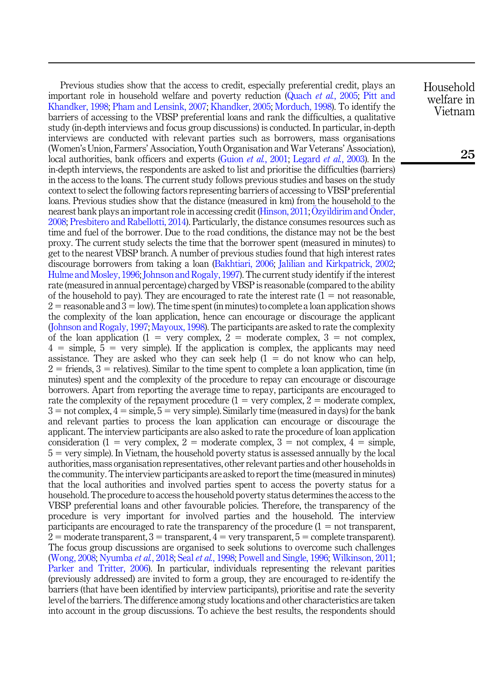Previous studies show that the access to credit, especially preferential credit, plays an important role in household welfare and poverty reduction [\(Quach](#page-14-1) et al., 2005; [Pitt and](#page-14-0) [Khandker, 1998](#page-14-0); [Pham and Lensink, 2007;](#page-14-3) [Khandker, 2005](#page-13-11); [Morduch, 1998\)](#page-13-12). To identify the barriers of accessing to the VBSP preferential loans and rank the difficulties, a qualitative study (in-depth interviews and focus group discussions) is conducted. In particular, in-depth interviews are conducted with relevant parties such as borrowers, mass organisations (Women's Union, Farmers' Association, Youth Organisation and War Veterans' Association), local authorities, bank officers and experts ([Guion](#page-13-13) *et al.*, 2001; [Legard](#page-13-14) *et al.*, 2003). In the in-depth interviews, the respondents are asked to list and prioritise the difficulties (barriers) in the access to the loans. The current study follows previous studies and bases on the study context to select the following factors representing barriers of accessing to VBSP preferential loans. Previous studies show that the distance (measured in km) from the household to the nearest bank plays an important role in accessing credit [\(Hinson, 2011](#page-13-15); [Ozyildirim and](#page-14-9) O[nder,](#page-14-9) [2008;](#page-14-9) [Presbitero and Rabellotti, 2014\)](#page-14-10). Particularly, the distance consumes resources such as time and fuel of the borrower. Due to the road conditions, the distance may not be the best proxy. The current study selects the time that the borrower spent (measured in minutes) to get to the nearest VBSP branch. A number of previous studies found that high interest rates discourage borrowers from taking a loan ([Bakhtiari, 2006;](#page-12-12) [Jalilian and Kirkpatrick, 2002](#page-13-16); [Hulme and Mosley, 1996](#page-13-17); [Johnson and Rogaly, 1997\)](#page-13-18). The current study identify if the interest rate (measured in annual percentage) charged by VBSP is reasonable (compared to the ability of the household to pay). They are encouraged to rate the interest rate  $(1 = not reasonable,$  $2 =$  reasonable and  $3 =$  low). The time spent (in minutes) to complete a loan application shows the complexity of the loan application, hence can encourage or discourage the applicant ([Johnson and Rogaly, 1997;](#page-13-18) [Mayoux, 1998](#page-13-19)). The participants are asked to rate the complexity of the loan application (1 = very complex, 2 = moderate complex, 3 = not complex,  $4 =$  simple,  $5 =$  very simple). If the application is complex, the applicants may need assistance. They are asked who they can seek help  $(1 = do not know who can help,$  $2 =$  friends,  $3 =$  relatives). Similar to the time spent to complete a loan application, time (in minutes) spent and the complexity of the procedure to repay can encourage or discourage borrowers. Apart from reporting the average time to repay, participants are encouraged to rate the complexity of the repayment procedure  $(1 = \text{very complex}, 2 = \text{moderate complex},$  $3 =$  not complex,  $4 =$  simple,  $5 =$  very simple). Similarly time (measured in days) for the bank and relevant parties to process the loan application can encourage or discourage the applicant. The interview participants are also asked to rate the procedure of loan application consideration (1 = very complex, 2 = moderate complex, 3 = not complex,  $4 =$  simple,  $5 = \text{very simple}$ . In Vietnam, the household poverty status is assessed annually by the local authorities, mass organisation representatives, other relevant parties and other households in the community. The interview participants are asked to report the time (measured in minutes) that the local authorities and involved parties spent to access the poverty status for a household. The procedure to access the household poverty status determines the access to the VBSP preferential loans and other favourable policies. Therefore, the transparency of the procedure is very important for involved parties and the household. The interview participants are encouraged to rate the transparency of the procedure  $(1 = not$  transparent,  $2 =$  moderate transparent,  $3 =$  transparent,  $4 =$  very transparent,  $5 =$  complete transparent). The focus group discussions are organised to seek solutions to overcome such challenges ([Wong, 2008](#page-14-11); [Nyumba](#page-13-20) et al., 2018; Seal et al.[, 1998](#page-14-12); [Powell and Single, 1996](#page-14-13); [Wilkinson, 2011](#page-14-14); [Parker and Tritter, 2006\)](#page-14-15). In particular, individuals representing the relevant parities (previously addressed) are invited to form a group, they are encouraged to re-identify the barriers (that have been identified by interview participants), prioritise and rate the severity level of the barriers. The difference among study locations and other characteristics are taken into account in the group discussions. To achieve the best results, the respondents should

Household welfare in Vietnam

25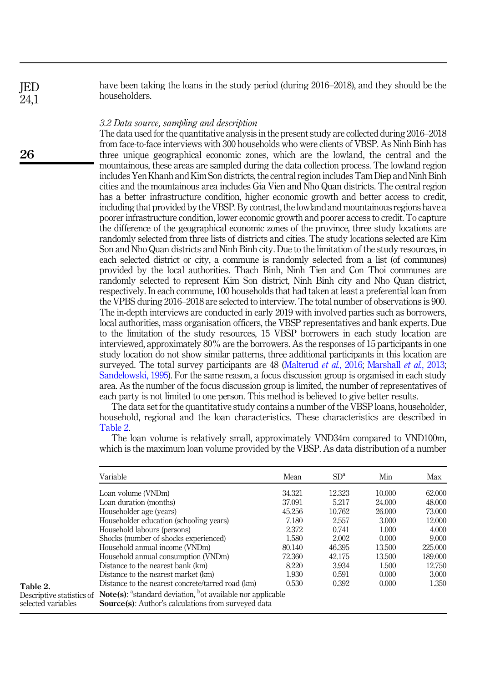have been taking the loans in the study period (during 2016–2018), and they should be the householders.

### 3.2 Data source, sampling and description

The data used for the quantitative analysis in the present study are collected during 2016–2018 from face-to-face interviews with 300 households who were clients of VBSP. As Ninh Binh has three unique geographical economic zones, which are the lowland, the central and the mountainous, these areas are sampled during the data collection process. The lowland region includes Yen Khanh and Kim Son districts, the central region includes Tam Diep and Ninh Binh cities and the mountainous area includes Gia Vien and Nho Quan districts. The central region has a better infrastructure condition, higher economic growth and better access to credit, including that provided by the VBSP. By contrast, the lowland and mountainous regions have a poorer infrastructure condition, lower economic growth and poorer access to credit. To capture the difference of the geographical economic zones of the province, three study locations are randomly selected from three lists of districts and cities. The study locations selected are Kim Son and Nho Quan districts and Ninh Binh city. Due to the limitation of the study resources, in each selected district or city, a commune is randomly selected from a list (of communes) provided by the local authorities. Thach Binh, Ninh Tien and Con Thoi communes are randomly selected to represent Kim Son district, Ninh Binh city and Nho Quan district, respectively. In each commune, 100 households that had taken at least a preferential loan from the VPBS during 2016–2018 are selected to interview. The total number of observations is 900. The in-depth interviews are conducted in early 2019 with involved parties such as borrowers, local authorities, mass organisation officers, the VBSP representatives and bank experts. Due to the limitation of the study resources, 15 VBSP borrowers in each study location are interviewed, approximately 80% are the borrowers. As the responses of 15 participants in one study location do not show similar patterns, three additional participants in this location are surveyed. The total survey participants are 48 [\(Malterud](#page-13-21) *et al.*, 2016; [Marshall](#page-13-22) *et al.*, 2013; [Sandelowski, 1995\)](#page-14-16). For the same reason, a focus discussion group is organised in each study area. As the number of the focus discussion group is limited, the number of representatives of each party is not limited to one person. This method is believed to give better results.

The data set for the quantitative study contains a number of the VBSP loans, householder, household, regional and the loan characteristics. These characteristics are described in Table 2.

The loan volume is relatively small, approximately VND34m compared to VND100m, which is the maximum loan volume provided by the VBSP. As data distribution of a number

|                                                 | Variable                                                                                                                                                        | Mean   | SD <sup>a</sup> | Min    | Max     |
|-------------------------------------------------|-----------------------------------------------------------------------------------------------------------------------------------------------------------------|--------|-----------------|--------|---------|
|                                                 | Loan volume (VNDm)                                                                                                                                              | 34.321 | 12.323          | 10.000 | 62.000  |
|                                                 | Loan duration (months)                                                                                                                                          | 37.091 | 5.217           | 24.000 | 48.000  |
|                                                 | Householder age (years)                                                                                                                                         | 45.256 | 10.762          | 26,000 | 73,000  |
|                                                 | Householder education (schooling years)                                                                                                                         | 7.180  | 2.557           | 3.000  | 12.000  |
|                                                 | Household labours (persons)                                                                                                                                     | 2.372  | 0.741           | 1.000  | 4.000   |
|                                                 | Shocks (number of shocks experienced)                                                                                                                           | 1.580  | 2.002           | 0.000  | 9.000   |
|                                                 | Household annual income (VNDm)                                                                                                                                  | 80.140 | 46.395          | 13.500 | 225.000 |
|                                                 | Household annual consumption (VNDm)                                                                                                                             | 72.360 | 42.175          | 13.500 | 189.000 |
|                                                 | Distance to the nearest bank (km)                                                                                                                               | 8.220  | 3.934           | 1.500  | 12.750  |
|                                                 | Distance to the nearest market (km)                                                                                                                             | 1.930  | 0.591           | 0.000  | 3.000   |
| Table 2.                                        | Distance to the nearest concrete/tarred road (km)                                                                                                               | 0.530  | 0.392           | 0.000  | 1.350   |
| Descriptive statistics of<br>selected variables | <b>Note(s):</b> $a$ <sup>3</sup> standard deviation, $b$ <sup>3</sup> ot available nor applicable<br><b>Source(s):</b> Author's calculations from surveyed data |        |                 |        |         |

26

JED 24,1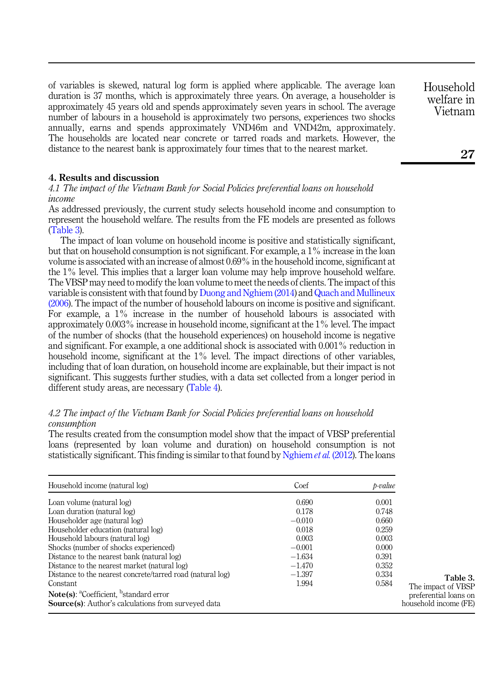of variables is skewed, natural log form is applied where applicable. The average loan duration is 37 months, which is approximately three years. On average, a householder is approximately 45 years old and spends approximately seven years in school. The average number of labours in a household is approximately two persons, experiences two shocks annually, earns and spends approximately VND46m and VND42m, approximately. The households are located near concrete or tarred roads and markets. However, the distance to the nearest bank is approximately four times that to the nearest market.

# <span id="page-9-0"></span>4. Results and discussion

4.1 The impact of the Vietnam Bank for Social Policies preferential loans on household income

As addressed previously, the current study selects household income and consumption to represent the household welfare. The results from the FE models are presented as follows (Table 3).

The impact of loan volume on household income is positive and statistically significant, but that on household consumption is not significant. For example, a 1% increase in the loan volume is associated with an increase of almost 0.69% in the household income, significant at the 1% level. This implies that a larger loan volume may help improve household welfare. The VBSP may need to modify the loan volume to meet the needs of clients. The impact of this variable is consistent with that found by [Duong and Nghiem \(2014\)](#page-12-2) and [Quach and Mullineux](#page-14-17) [\(2006](#page-14-17)). The impact of the number of household labours on income is positive and significant. For example, a 1% increase in the number of household labours is associated with approximately 0.003% increase in household income, significant at the 1% level. The impact of the number of shocks (that the household experiences) on household income is negative and significant. For example, a one additional shock is associated with 0.001% reduction in household income, significant at the 1% level. The impact directions of other variables, including that of loan duration, on household income are explainable, but their impact is not significant. This suggests further studies, with a data set collected from a longer period in different study areas, are necessary [\(Table 4](#page-10-0)).

# 4.2 The impact of the Vietnam Bank for Social Policies preferential loans on household consumption

The results created from the consumption model show that the impact of VBSP preferential loans (represented by loan volume and duration) on household consumption is not statistically significant. This finding is similar to that found by [Nghiem](#page-13-3) *et al.* (2012). The loans

| Household income (natural log)                                       | Coef     | p-value |                       |
|----------------------------------------------------------------------|----------|---------|-----------------------|
| Loan volume (natural log)                                            | 0.690    | 0.001   |                       |
| Loan duration (natural log)                                          | 0.178    | 0.748   |                       |
| Householder age (natural log)                                        | $-0.010$ | 0.660   |                       |
| Householder education (natural log)                                  | 0.018    | 0.259   |                       |
| Household labours (natural log)                                      | 0.003    | 0.003   |                       |
| Shocks (number of shocks experienced)                                | $-0.001$ | 0.000   |                       |
| Distance to the nearest bank (natural log)                           | $-1.634$ | 0.391   |                       |
| Distance to the nearest market (natural log)                         | $-1.470$ | 0.352   |                       |
| Distance to the nearest concrete/tarred road (natural log)           | $-1.397$ | 0.334   | Table 3.              |
| Constant                                                             | 1.994    | 0.584   | The impact of VBSP    |
| Note(s): ${}^{\text{a}}$ Coefficient, ${}^{\text{b}}$ standard error |          |         | preferential loans on |
| <b>Source(s):</b> Author's calculations from surveyed data           |          |         | household income (FE) |

Household welfare in Vietnam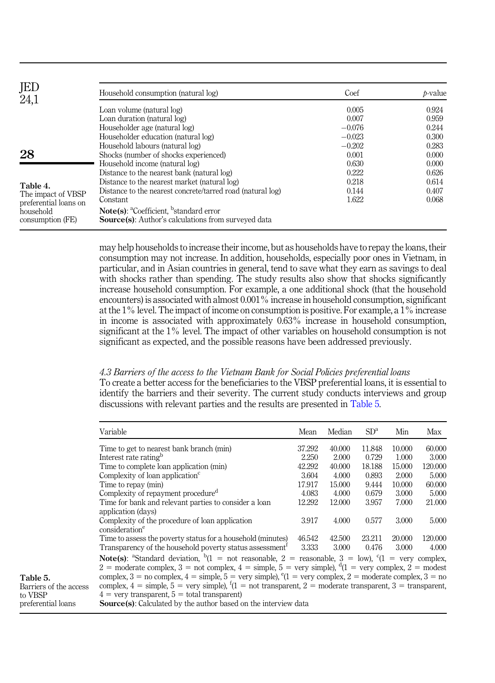<span id="page-10-0"></span>

| JED<br>24,1                                 | Household consumption (natural log)                                                                                                | Coef     | $b-value$ |
|---------------------------------------------|------------------------------------------------------------------------------------------------------------------------------------|----------|-----------|
|                                             | Loan volume (natural log)                                                                                                          | 0.005    | 0.924     |
|                                             | Loan duration (natural log)                                                                                                        | 0.007    | 0.959     |
|                                             | Householder age (natural log)                                                                                                      | $-0.076$ | 0.244     |
|                                             | Householder education (natural log)                                                                                                | $-0.023$ | 0.300     |
|                                             | Household labours (natural log)                                                                                                    | $-0.202$ | 0.283     |
| 28                                          | Shocks (number of shocks experienced)                                                                                              | 0.001    | 0.000     |
|                                             | Household income (natural log)                                                                                                     | 0.630    | 0.000     |
|                                             | Distance to the nearest bank (natural log)                                                                                         | 0.222    | 0.626     |
| Table 4.                                    | Distance to the nearest market (natural log)                                                                                       | 0.218    | 0.614     |
| The impact of VBSP<br>preferential loans on | Distance to the nearest concrete/tarred road (natural log)                                                                         | 0.144    | 0.407     |
|                                             | Constant                                                                                                                           | 1.622    | 0.068     |
| household<br>consumption (FE)               | Note(s): ${}^{\text{a}}$ Coefficient, ${}^{\text{b}}$ standard error<br><b>Source(s):</b> Author's calculations from surveyed data |          |           |

may help households to increase their income, but as households have to repay the loans, their consumption may not increase. In addition, households, especially poor ones in Vietnam, in particular, and in Asian countries in general, tend to save what they earn as savings to deal with shocks rather than spending. The study results also show that shocks significantly increase household consumption. For example, a one additional shock (that the household encounters) is associated with almost  $0.001\%$  increase in household consumption, significant at the 1% level. The impact of income on consumption is positive. For example, a 1% increase in income is associated with approximately 0.63% increase in household consumption, significant at the 1% level. The impact of other variables on household consumption is not significant as expected, and the possible reasons have been addressed previously.

# 4.3 Barriers of the access to the Vietnam Bank for Social Policies preferential loans

To create a better access for the beneficiaries to the VBSP preferential loans, it is essential to identify the barriers and their severity. The current study conducts interviews and group discussions with relevant parties and the results are presented in Table 5.

|                                                | Variable                                                                                                                                                                                                                                                                                         | Mean   | Median | SD <sup>a</sup> | Min    | Max     |
|------------------------------------------------|--------------------------------------------------------------------------------------------------------------------------------------------------------------------------------------------------------------------------------------------------------------------------------------------------|--------|--------|-----------------|--------|---------|
|                                                | Time to get to nearest bank branch (min)                                                                                                                                                                                                                                                         | 37.292 | 40.000 | 11.848          | 10.000 | 60.000  |
|                                                | Interest rate rating <sup>b</sup><br>Time to complete loan application (min)                                                                                                                                                                                                                     |        |        | 0.729           | 1.000  | 3.000   |
|                                                |                                                                                                                                                                                                                                                                                                  |        |        | 18.188          | 15.000 | 120.000 |
|                                                | Complexity of loan application $\epsilon$                                                                                                                                                                                                                                                        | 3.604  | 4.000  | 0.893           | 2.000  | 5.000   |
|                                                | Time to repay (min)                                                                                                                                                                                                                                                                              | 17.917 | 15.000 | 9.444           | 10.000 | 60.000  |
| Complexity of repayment procedure <sup>a</sup> |                                                                                                                                                                                                                                                                                                  |        | 4.000  | 0.679           | 3.000  | 5.000   |
|                                                | Time for bank and relevant parties to consider a loan                                                                                                                                                                                                                                            | 12.292 | 12.000 | 3.957           | 7.000  | 21.000  |
|                                                | application (days)                                                                                                                                                                                                                                                                               |        |        |                 |        |         |
|                                                | Complexity of the procedure of loan application<br>consideration <sup>e</sup>                                                                                                                                                                                                                    |        |        | 0.577           | 3.000  | 5.000   |
|                                                | Time to assess the poverty status for a household (minutes)                                                                                                                                                                                                                                      | 46.542 | 42.500 | 23.211          | 20,000 | 120.000 |
|                                                | Transparency of the household poverty status assessment <sup>t</sup>                                                                                                                                                                                                                             |        |        | 0.476           | 3.000  | 4.000   |
|                                                | <b>Note(s):</b> "Standard deviation, ${}^{b}$ (1 = not reasonable, 2 = reasonable, 3 = low), ${}^{c}$ (1 = very complex,<br>2 = moderate complex, 3 = not complex, 4 = simple, 5 = very simple), ${}^{d}(1)$ = very complex, 2 = modest                                                          |        |        |                 |        |         |
| Table 5.<br>Barriers of the access             | complex, $3 =$ no complex, $4 =$ simple, $5 =$ very simple), $^{e}(1 =$ very complex, $2 =$ moderate complex, $3 =$ no<br>complex, $4 =$ simple, $5 =$ very simple), $(1) =$ not transparent, $2 =$ moderate transparent, $3 =$ transparent,<br>$4 =$ very transparent, $5 =$ total transparent) |        |        |                 |        |         |
| to VBSP                                        |                                                                                                                                                                                                                                                                                                  |        |        |                 |        |         |
| preferential loans                             | <b>Source</b> (s): Calculated by the author based on the interview data                                                                                                                                                                                                                          |        |        |                 |        |         |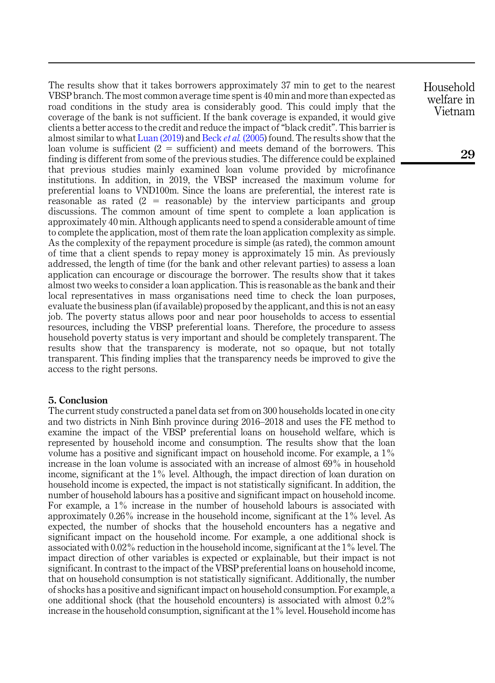The results show that it takes borrowers approximately 37 min to get to the nearest VBSP branch. The most common average time spent is 40 min and more than expected as road conditions in the study area is considerably good. This could imply that the coverage of the bank is not sufficient. If the bank coverage is expanded, it would give clients a better access to the credit and reduce the impact of "black credit". This barrier is almost similar to what [Luan \(2019\)](#page-13-8) and Beck *et al.* [\(2005\)](#page-12-5) found. The results show that the loan volume is sufficient  $(2 = sufficient)$  and meets demand of the borrowers. This finding is different from some of the previous studies. The difference could be explained that previous studies mainly examined loan volume provided by microfinance institutions. In addition, in 2019, the VBSP increased the maximum volume for preferential loans to VND100m. Since the loans are preferential, the interest rate is reasonable as rated  $(2 = reasonable)$  by the interview participants and group discussions. The common amount of time spent to complete a loan application is approximately 40 min. Although applicants need to spend a considerable amount of time to complete the application, most of them rate the loan application complexity as simple. As the complexity of the repayment procedure is simple (as rated), the common amount of time that a client spends to repay money is approximately 15 min. As previously addressed, the length of time (for the bank and other relevant parties) to assess a loan application can encourage or discourage the borrower. The results show that it takes almost two weeks to consider a loan application. This is reasonable as the bank and their local representatives in mass organisations need time to check the loan purposes, evaluate the business plan (if available) proposed by the applicant, and this is not an easy job. The poverty status allows poor and near poor households to access to essential resources, including the VBSP preferential loans. Therefore, the procedure to assess household poverty status is very important and should be completely transparent. The results show that the transparency is moderate, not so opaque, but not totally transparent. This finding implies that the transparency needs be improved to give the access to the right persons.

# <span id="page-11-0"></span>5. Conclusion

The current study constructed a panel data set from on 300 households located in one city and two districts in Ninh Binh province during 2016–2018 and uses the FE method to examine the impact of the VBSP preferential loans on household welfare, which is represented by household income and consumption. The results show that the loan volume has a positive and significant impact on household income. For example, a 1% increase in the loan volume is associated with an increase of almost 69% in household income, significant at the 1% level. Although, the impact direction of loan duration on household income is expected, the impact is not statistically significant. In addition, the number of household labours has a positive and significant impact on household income. For example, a 1% increase in the number of household labours is associated with approximately 0.26% increase in the household income, significant at the 1% level. As expected, the number of shocks that the household encounters has a negative and significant impact on the household income. For example, a one additional shock is associated with 0.02% reduction in the household income, significant at the 1% level. The impact direction of other variables is expected or explainable, but their impact is not significant. In contrast to the impact of the VBSP preferential loans on household income, that on household consumption is not statistically significant. Additionally, the number of shocks has a positive and significant impact on household consumption. For example, a one additional shock (that the household encounters) is associated with almost 0.2% increase in the household consumption, significant at the 1% level. Household income has Household welfare in Vietnam

29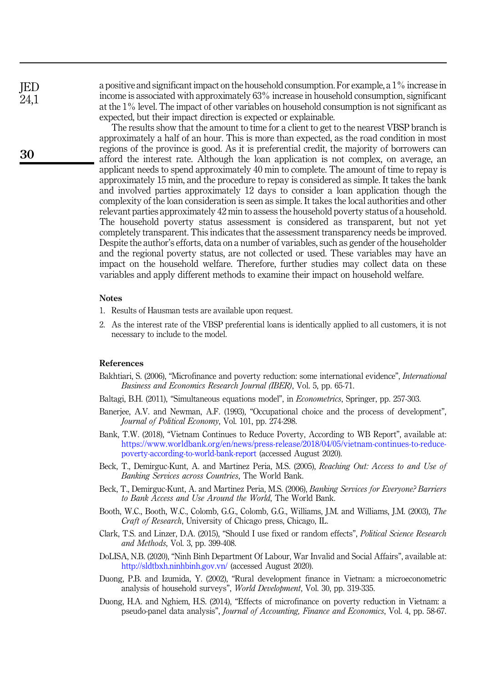a positive and significant impact on the household consumption. For example, a 1% increase in income is associated with approximately 63% increase in household consumption, significant at the 1% level. The impact of other variables on household consumption is not significant as expected, but their impact direction is expected or explainable.

The results show that the amount to time for a client to get to the nearest VBSP branch is approximately a half of an hour. This is more than expected, as the road condition in most regions of the province is good. As it is preferential credit, the majority of borrowers can afford the interest rate. Although the loan application is not complex, on average, an applicant needs to spend approximately 40 min to complete. The amount of time to repay is approximately 15 min, and the procedure to repay is considered as simple. It takes the bank and involved parties approximately 12 days to consider a loan application though the complexity of the loan consideration is seen as simple. It takes the local authorities and other relevant parties approximately 42 min to assess the household poverty status of a household. The household poverty status assessment is considered as transparent, but not yet completely transparent. This indicates that the assessment transparency needs be improved. Despite the author's efforts, data on a number of variables, such as gender of the householder and the regional poverty status, are not collected or used. These variables may have an impact on the household welfare. Therefore, further studies may collect data on these variables and apply different methods to examine their impact on household welfare.

#### <span id="page-12-9"></span>**Notes**

- 1. Results of Hausman tests are available upon request.
- <span id="page-12-10"></span>2. As the interest rate of the VBSP preferential loans is identically applied to all customers, it is not necessary to include to the model.

#### <span id="page-12-12"></span>References

- Bakhtiari, S. (2006), "Microfinance and poverty reduction: some international evidence", *International* Business and Economics Research Journal (IBER), Vol. 5, pp. 65-71.
- <span id="page-12-11"></span><span id="page-12-0"></span>Baltagi, B.H. (2011), "Simultaneous equations model", in *Econometrics*, Springer, pp. 257-303.
- Banerjee, A.V. and Newman, A.F. (1993), "Occupational choice and the process of development", Journal of Political Economy, Vol. 101, pp. 274-298.
- <span id="page-12-4"></span>Bank, T.W. (2018), "Vietnam Continues to Reduce Poverty, According to WB Report", available at: [https://www.worldbank.org/en/news/press-release/2018/04/05/vietnam-continues-to-reduce](https://www.worldbank.org/en/news/press-release/2018/04/05/vietnam-continues-to-reduce-poverty-according-to-world-bank-report)[poverty-according-to-world-bank-report](https://www.worldbank.org/en/news/press-release/2018/04/05/vietnam-continues-to-reduce-poverty-according-to-world-bank-report) (accessed August 2020).
- <span id="page-12-5"></span>Beck, T., Demirguc-Kunt, A. and Martinez Peria, M.S. (2005), Reaching Out: Access to and Use of Banking Services across Countries, The World Bank.
- <span id="page-12-6"></span>Beck, T., Demirguc-Kunt, A. and Martinez Peria, M.S. (2006), Banking Services for Everyone? Barriers to Bank Access and Use Around the World, The World Bank.
- <span id="page-12-7"></span>Booth, W.C., Booth, W.C., Colomb, G.G., Colomb, G.G., Williams, J.M. and Williams, J.M. (2003), The Craft of Research, University of Chicago press, Chicago, IL.
- <span id="page-12-8"></span>Clark, T.S. and Linzer, D.A. (2015), "Should I use fixed or random effects", Political Science Research and Methods, Vol. 3, pp. 399-408.
- <span id="page-12-3"></span>DoLISA, N.B. (2020), "Ninh Binh Department Of Labour, War Invalid and Social Affairs", available at: <http://sldtbxh.ninhbinh.gov.vn/> (accessed August 2020).
- <span id="page-12-1"></span>Duong, P.B. and Izumida, Y. (2002), "Rural development finance in Vietnam: a microeconometric analysis of household surveys", World Development, Vol. 30, pp. 319-335.
- <span id="page-12-2"></span>Duong, H.A. and Nghiem, H.S. (2014), "Effects of microfinance on poverty reduction in Vietnam: a pseudo-panel data analysis", Journal of Accounting, Finance and Economics, Vol. 4, pp. 58-67.

**IED**  $24.1$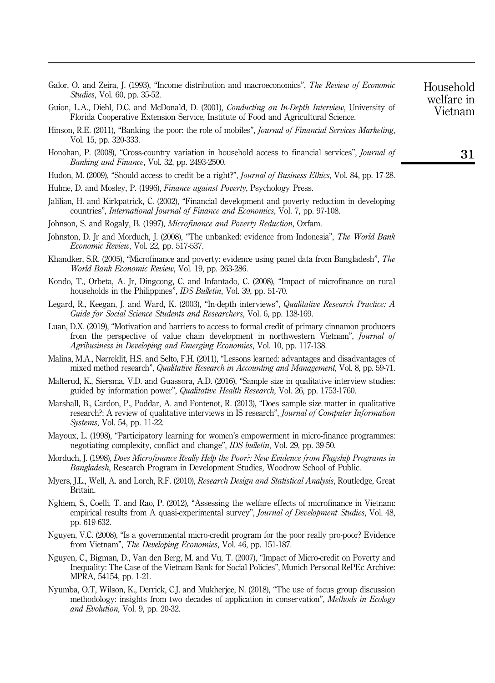<span id="page-13-0"></span>

| Galor, O. and Zeira, J. (1993), "Income distribution and macroeconomics", <i>The Review of Economic</i> |  |  |  |
|---------------------------------------------------------------------------------------------------------|--|--|--|
| <i>Studies</i> , Vol. 60, pp. 35-52.                                                                    |  |  |  |

- <span id="page-13-13"></span>Guion, L.A., Diehl, D.C. and McDonald, D. (2001), Conducting an In-Depth Interview, University of Florida Cooperative Extension Service, Institute of Food and Agricultural Science.
- <span id="page-13-15"></span>Hinson, R.E. (2011), "Banking the poor: the role of mobiles", Journal of Financial Services Marketing, Vol. 15, pp. 320-333.
- <span id="page-13-6"></span>Honohan, P. (2008), "Cross-country variation in household access to financial services", *Journal of* Banking and Finance, Vol. 32, pp. 2493-2500.
- <span id="page-13-1"></span>Hudon, M. (2009), "Should access to credit be a right?", *Journal of Business Ethics*, Vol. 84, pp. 17-28.
- <span id="page-13-17"></span>Hulme, D. and Mosley, P. (1996), Finance against Poverty, Psychology Press.
- <span id="page-13-16"></span>Jalilian, H. and Kirkpatrick, C. (2002), "Financial development and poverty reduction in developing countries", International Journal of Finance and Economics, Vol. 7, pp. 97-108.
- <span id="page-13-18"></span>Johnson, S. and Rogaly, B. (1997), Microfinance and Poverty Reduction, Oxfam.
- <span id="page-13-7"></span>Johnston, D. Jr and Morduch, J. (2008), "The unbanked: evidence from Indonesia", The World Bank Economic Review, Vol. 22, pp. 517-537.
- <span id="page-13-11"></span>Khandker, S.R. (2005), "Microfinance and poverty: evidence using panel data from Bangladesh", The World Bank Economic Review, Vol. 19, pp. 263-286.
- <span id="page-13-4"></span>Kondo, T., Orbeta, A. Jr, Dingcong, C. and Infantado, C. (2008), "Impact of microfinance on rural households in the Philippines", *IDS Bulletin*, Vol. 39, pp. 51-70.
- <span id="page-13-14"></span>Legard, R., Keegan, J. and Ward, K. (2003), "In-depth interviews", Qualitative Research Practice: A Guide for Social Science Students and Researchers, Vol. 6, pp. 138-169.
- <span id="page-13-8"></span>Luan, D.X. (2019), "Motivation and barriers to access to formal credit of primary cinnamon producers from the perspective of value chain development in northwestern Vietnam", Journal of Agribusiness in Developing and Emerging Economies, Vol. 10, pp. 117-138.
- <span id="page-13-9"></span>Malina, M.A., Nørreklit, H.S. and Selto, F.H. (2011), "Lessons learned: advantages and disadvantages of mixed method research", Qualitative Research in Accounting and Management, Vol. 8, pp. 59-71.
- <span id="page-13-21"></span>Malterud, K., Siersma, V.D. and Guassora, A.D. (2016), "Sample size in qualitative interview studies: guided by information power", Qualitative Health Research, Vol. 26, pp. 1753-1760.
- <span id="page-13-22"></span>Marshall, B., Cardon, P., Poddar, A. and Fontenot, R. (2013), "Does sample size matter in qualitative research?: A review of qualitative interviews in IS research", Journal of Computer Information Systems, Vol. 54, pp. 11-22.
- <span id="page-13-19"></span>Mayoux, L. (1998), "Participatory learning for women's empowerment in micro-finance programmes: negotiating complexity, conflict and change", IDS bulletin, Vol. 29, pp. 39-50.
- <span id="page-13-12"></span>Morduch, J. (1998), Does Microfinance Really Help the Poor?: New Evidence from Flagship Programs in Bangladesh, Research Program in Development Studies, Woodrow School of Public.
- <span id="page-13-10"></span>Myers, J.L., Well, A. and Lorch, R.F. (2010), Research Design and Statistical Analysis, Routledge, Great Britain.
- <span id="page-13-3"></span>Nghiem, S., Coelli, T. and Rao, P. (2012), "Assessing the welfare effects of microfinance in Vietnam: empirical results from A quasi-experimental survey", *Journal of Development Studies*, Vol. 48, pp. 619-632.
- <span id="page-13-2"></span>Nguyen, V.C. (2008), "Is a governmental micro-credit program for the poor really pro-poor? Evidence from Vietnam", The Developing Economies, Vol. 46, pp. 151-187.
- <span id="page-13-5"></span>Nguyen, C., Bigman, D., Van den Berg, M. and Vu, T. (2007), "Impact of Micro-credit on Poverty and Inequality: The Case of the Vietnam Bank for Social Policies", Munich Personal RePEc Archive: MPRA, 54154, pp. 1-21.
- <span id="page-13-20"></span>Nyumba, O.T, Wilson, K., Derrick, C.J. and Mukherjee, N. (2018), "The use of focus group discussion methodology: insights from two decades of application in conservation", Methods in Ecology and Evolution, Vol. 9, pp. 20-32.

Household welfare in Vietnam